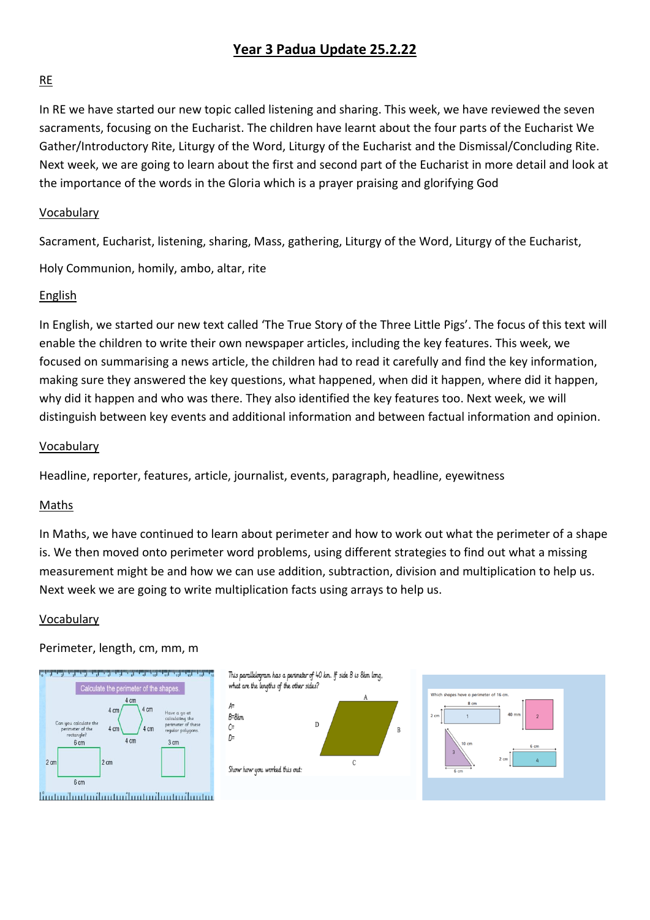# **Year 3 Padua Update 25.2.22**

### RE

In RE we have started our new topic called listening and sharing. This week, we have reviewed the seven sacraments, focusing on the Eucharist. The children have learnt about the four parts of the Eucharist We Gather/Introductory Rite, Liturgy of the Word, Liturgy of the Eucharist and the Dismissal/Concluding Rite. Next week, we are going to learn about the first and second part of the Eucharist in more detail and look at the importance of the words in the Gloria which is a prayer praising and glorifying God

### Vocabulary

Sacrament, Eucharist, listening, sharing, Mass, gathering, Liturgy of the Word, Liturgy of the Eucharist,

Holy Communion, homily, ambo, altar, rite

### English

In English, we started our new text called 'The True Story of the Three Little Pigs'. The focus of this text will enable the children to write their own newspaper articles, including the key features. This week, we focused on summarising a news article, the children had to read it carefully and find the key information, making sure they answered the key questions, what happened, when did it happen, where did it happen, why did it happen and who was there. They also identified the key features too. Next week, we will distinguish between key events and additional information and between factual information and opinion.

#### Vocabulary

Headline, reporter, features, article, journalist, events, paragraph, headline, eyewitness

### Maths

In Maths, we have continued to learn about perimeter and how to work out what the perimeter of a shape is. We then moved onto perimeter word problems, using different strategies to find out what a missing measurement might be and how we can use addition, subtraction, division and multiplication to help us. Next week we are going to write multiplication facts using arrays to help us.

#### Vocabulary

### Perimeter, length, cm, mm, m



This parallelogram has a perimeter of 40 km. If side B is 8km long, what are the lengths of the other sides?  $A=$  $R = 8km$  $\overline{D}$  $\mathcal{C}$  $\overline{R}$  $D =$  $\mathcal{C}$ Show how you worked this out:

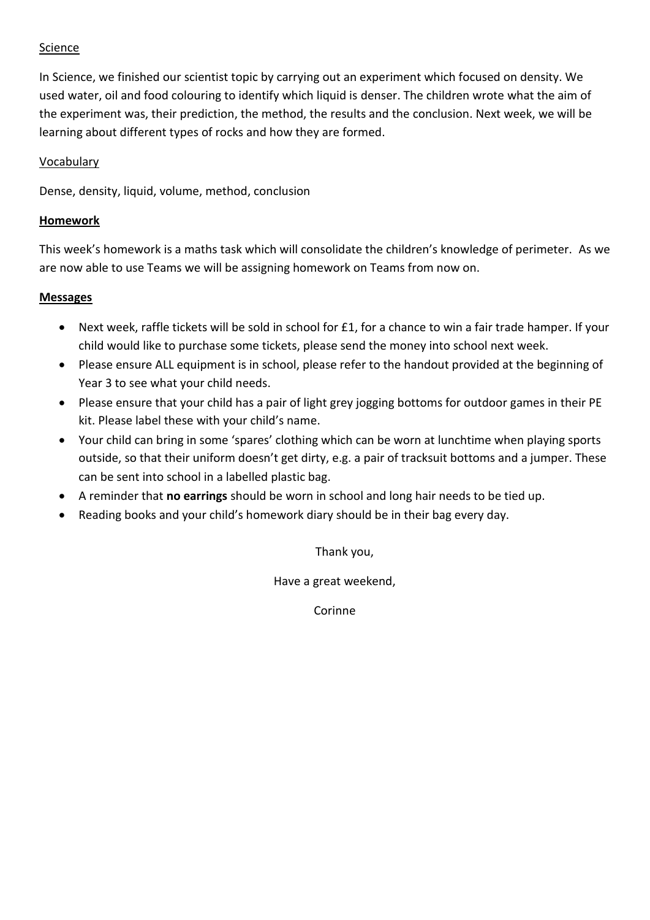## Science

In Science, we finished our scientist topic by carrying out an experiment which focused on density. We used water, oil and food colouring to identify which liquid is denser. The children wrote what the aim of the experiment was, their prediction, the method, the results and the conclusion. Next week, we will be learning about different types of rocks and how they are formed.

### Vocabulary

Dense, density, liquid, volume, method, conclusion

### **Homework**

This week's homework is a maths task which will consolidate the children's knowledge of perimeter. As we are now able to use Teams we will be assigning homework on Teams from now on.

### **Messages**

- Next week, raffle tickets will be sold in school for £1, for a chance to win a fair trade hamper. If your child would like to purchase some tickets, please send the money into school next week.
- Please ensure ALL equipment is in school, please refer to the handout provided at the beginning of Year 3 to see what your child needs.
- Please ensure that your child has a pair of light grey jogging bottoms for outdoor games in their PE kit. Please label these with your child's name.
- Your child can bring in some 'spares' clothing which can be worn at lunchtime when playing sports outside, so that their uniform doesn't get dirty, e.g. a pair of tracksuit bottoms and a jumper. These can be sent into school in a labelled plastic bag.
- A reminder that **no earrings** should be worn in school and long hair needs to be tied up.
- Reading books and your child's homework diary should be in their bag every day.

Thank you,

Have a great weekend,

Corinne